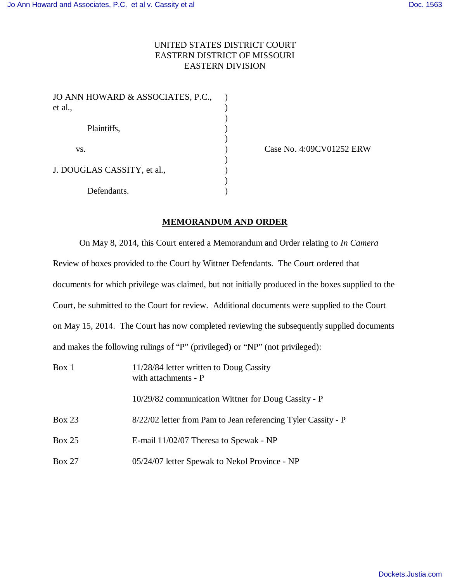## UNITED STATES DISTRICT COURT EASTERN DISTRICT OF MISSOURI EASTERN DIVISION

| JO ANN HOWARD & ASSOCIATES, P.C.,<br>et al., |  |
|----------------------------------------------|--|
| Plaintiffs,                                  |  |
| VS.                                          |  |
| J. DOUGLAS CASSITY, et al.,                  |  |
| Defendants.                                  |  |

Case No. 4:09CV01252 ERW

## **MEMORANDUM AND ORDER**

On May 8, 2014, this Court entered a Memorandum and Order relating to *In Camera* Review of boxes provided to the Court by Wittner Defendants. The Court ordered that documents for which privilege was claimed, but not initially produced in the boxes supplied to the Court, be submitted to the Court for review. Additional documents were supplied to the Court on May 15, 2014. The Court has now completed reviewing the subsequently supplied documents and makes the following rulings of "P" (privileged) or "NP" (not privileged):

| Box 1         | 11/28/84 letter written to Doug Cassity<br>with attachments - P |
|---------------|-----------------------------------------------------------------|
|               | 10/29/82 communication Wittner for Doug Cassity - P             |
| <b>Box 23</b> | 8/22/02 letter from Pam to Jean referencing Tyler Cassity - P   |
| Box 25        | E-mail 11/02/07 Theresa to Spewak - NP                          |
| <b>Box 27</b> | 05/24/07 letter Spewak to Nekol Province - NP                   |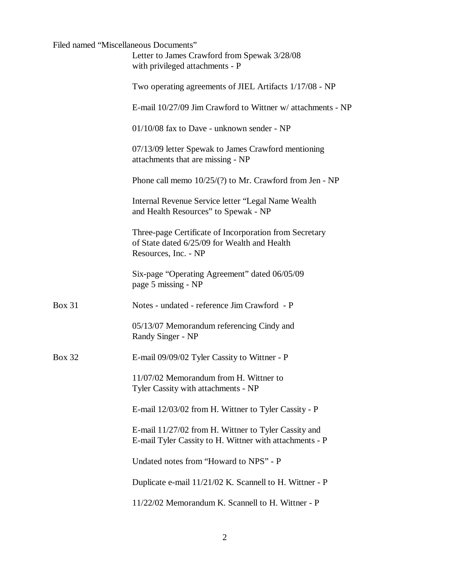| Filed named "Miscellaneous Documents" | Letter to James Crawford from Spewak 3/28/08<br>with privileged attachments - P                                                |
|---------------------------------------|--------------------------------------------------------------------------------------------------------------------------------|
|                                       | Two operating agreements of JIEL Artifacts 1/17/08 - NP                                                                        |
|                                       | E-mail 10/27/09 Jim Crawford to Wittner w/ attachments - NP                                                                    |
|                                       | $01/10/08$ fax to Dave - unknown sender - NP                                                                                   |
|                                       | 07/13/09 letter Spewak to James Crawford mentioning<br>attachments that are missing - NP                                       |
|                                       | Phone call memo $10/25/(?)$ to Mr. Crawford from Jen - NP                                                                      |
|                                       | Internal Revenue Service letter "Legal Name Wealth"<br>and Health Resources" to Spewak - NP                                    |
|                                       | Three-page Certificate of Incorporation from Secretary<br>of State dated 6/25/09 for Wealth and Health<br>Resources, Inc. - NP |
|                                       | Six-page "Operating Agreement" dated 06/05/09<br>page 5 missing - NP                                                           |
| <b>Box 31</b>                         | Notes - undated - reference Jim Crawford - P                                                                                   |
|                                       | 05/13/07 Memorandum referencing Cindy and<br>Randy Singer - NP                                                                 |
| <b>Box 32</b>                         | E-mail 09/09/02 Tyler Cassity to Wittner - P                                                                                   |
|                                       | 11/07/02 Memorandum from H. Wittner to<br>Tyler Cassity with attachments - NP                                                  |
|                                       | E-mail 12/03/02 from H. Wittner to Tyler Cassity - P                                                                           |
|                                       | E-mail 11/27/02 from H. Wittner to Tyler Cassity and<br>E-mail Tyler Cassity to H. Wittner with attachments - P                |
|                                       | Undated notes from "Howard to NPS" - P                                                                                         |
|                                       | Duplicate e-mail 11/21/02 K. Scannell to H. Wittner - P                                                                        |
|                                       | 11/22/02 Memorandum K. Scannell to H. Wittner - P                                                                              |